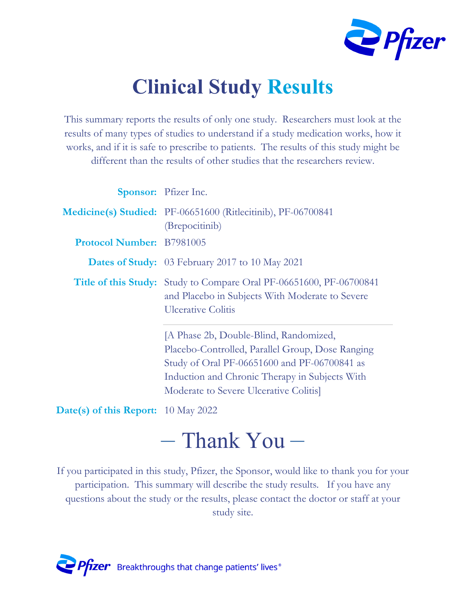

# **Clinical Study Results**

This summary reports the results of only one study. Researchers must look at the results of many types of studies to understand if a study medication works, how it works, and if it is safe to prescribe to patients. The results of this study might be different than the results of other studies that the researchers review.

|                                                                                                                                                                                                                                                                                                                                    | Sponsor: Pfizer Inc.                                                                                                                                                                                                                  |  |  |
|------------------------------------------------------------------------------------------------------------------------------------------------------------------------------------------------------------------------------------------------------------------------------------------------------------------------------------|---------------------------------------------------------------------------------------------------------------------------------------------------------------------------------------------------------------------------------------|--|--|
|                                                                                                                                                                                                                                                                                                                                    | Medicine(s) Studied: PF-06651600 (Ritlecitinib), PF-06700841<br>(Brepocitinib)                                                                                                                                                        |  |  |
| <b>Protocol Number: B7981005</b>                                                                                                                                                                                                                                                                                                   |                                                                                                                                                                                                                                       |  |  |
|                                                                                                                                                                                                                                                                                                                                    | <b>Dates of Study:</b> 03 February 2017 to 10 May 2021                                                                                                                                                                                |  |  |
|                                                                                                                                                                                                                                                                                                                                    | <b>Title of this Study:</b> Study to Compare Oral PF-06651600, PF-06700841<br>and Placebo in Subjects With Moderate to Severe<br><b>Ulcerative Colitis</b>                                                                            |  |  |
|                                                                                                                                                                                                                                                                                                                                    | [A Phase 2b, Double-Blind, Randomized,<br>Placebo-Controlled, Parallel Group, Dose Ranging<br>Study of Oral PF-06651600 and PF-06700841 as<br>Induction and Chronic Therapy in Subjects With<br>Moderate to Severe Ulcerative Colitis |  |  |
| $\mathbf{A}$ $\mathbf{A}$ $\mathbf{A}$ $\mathbf{A}$ $\mathbf{A}$ $\mathbf{B}$ $\mathbf{A}$ $\mathbf{A}$ $\mathbf{A}$ $\mathbf{A}$ $\mathbf{A}$ $\mathbf{A}$ $\mathbf{A}$ $\mathbf{A}$ $\mathbf{A}$ $\mathbf{A}$ $\mathbf{A}$ $\mathbf{A}$ $\mathbf{A}$ $\mathbf{A}$ $\mathbf{A}$ $\mathbf{A}$ $\mathbf{A}$ $\mathbf{A}$ $\mathbf{$ |                                                                                                                                                                                                                                       |  |  |

**Date(s) of this Report:** 10 May 2022

# – Thank You –

If you participated in this study, Pfizer, the Sponsor, would like to thank you for your participation. This summary will describe the study results. If you have any questions about the study or the results, please contact the doctor or staff at your study site.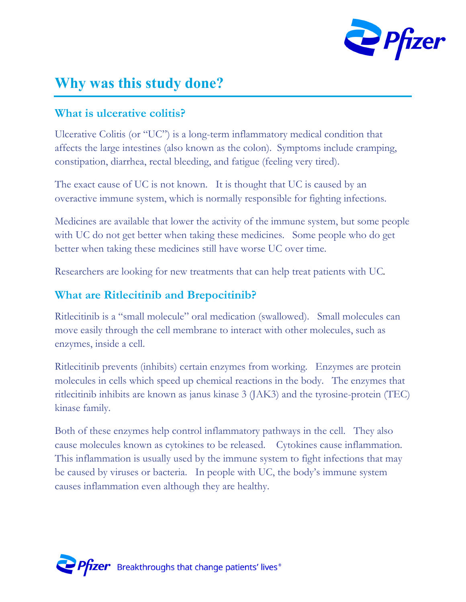

## **Why was this study done?**

#### **What is ulcerative colitis?**

Ulcerative Colitis (or "UC") is a long-term inflammatory medical condition that affects the large intestines (also known as the colon). Symptoms include cramping, constipation, diarrhea, rectal bleeding, and fatigue (feeling very tired).

The exact cause of UC is not known. It is thought that UC is caused by an overactive immune system, which is normally responsible for fighting infections.

Medicines are available that lower the activity of the immune system, but some people with UC do not get better when taking these medicines. Some people who do get better when taking these medicines still have worse UC over time.

Researchers are looking for new treatments that can help treat patients with UC*.*

#### **What are Ritlecitinib and Brepocitinib?**

Ritlecitinib is a "small molecule" oral medication (swallowed). Small molecules can move easily through the cell membrane to interact with other molecules, such as enzymes, inside a cell.

Ritlecitinib prevents (inhibits) certain enzymes from working. Enzymes are protein molecules in cells which speed up chemical reactions in the body. The enzymes that ritlecitinib inhibits are known as janus kinase 3 (JAK3) and the tyrosine-protein (TEC) kinase family.

Both of these enzymes help control inflammatory pathways in the cell. They also cause molecules known as cytokines to be released. Cytokines cause inflammation. This inflammation is usually used by the immune system to fight infections that may be caused by viruses or bacteria. In people with UC, the body's immune system causes inflammation even although they are healthy.

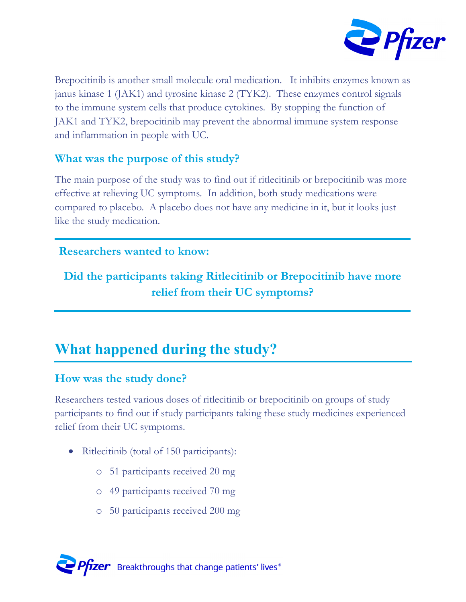

Brepocitinib is another small molecule oral medication. It inhibits enzymes known as janus kinase 1 (JAK1) and tyrosine kinase 2 (TYK2). These enzymes control signals to the immune system cells that produce cytokines. By stopping the function of JAK1 and TYK2, brepocitinib may prevent the abnormal immune system response and inflammation in people with UC.

#### **What was the purpose of this study?**

The main purpose of the study was to find out if ritlecitinib or brepocitinib was more effective at relieving UC symptoms*.* In addition, both study medications were compared to placebo*.* A placebo does not have any medicine in it, but it looks just like the study medication.

#### **Researchers wanted to know:**

#### **Did the participants taking Ritlecitinib or Brepocitinib have more relief from their UC symptoms?**

## **What happened during the study?**

#### **How was the study done?**

Researchers tested various doses of ritlecitinib or brepocitinib on groups of study participants to find out if study participants taking these study medicines experienced relief from their UC symptoms.

- Ritlecitinib (total of 150 participants):
	- o 51 participants received 20 mg
	- o 49 participants received 70 mg
	- o 50 participants received 200 mg

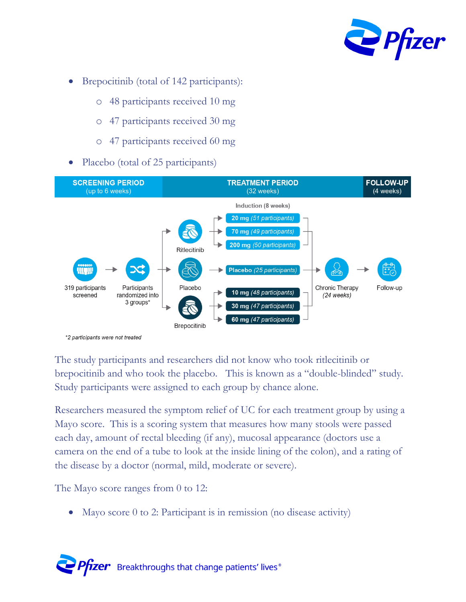

- Brepocitinib (total of 142 participants):
	- o 48 participants received 10 mg
	- o 47 participants received 30 mg
	- o 47 participants received 60 mg
- Placebo (total of 25 participants)



The study participants and researchers did not know who took ritlecitinib or brepocitinib and who took the placebo. This is known as a "double-blinded" study. Study participants were assigned to each group by chance alone.

Researchers measured the symptom relief of UC for each treatment group by using a Mayo score. This is a scoring system that measures how many stools were passed each day, amount of rectal bleeding (if any), mucosal appearance (doctors use a camera on the end of a tube to look at the inside lining of the colon), and a rating of the disease by a doctor (normal, mild, moderate or severe).

The Mayo score ranges from 0 to 12:

Mayo score 0 to 2: Participant is in remission (no disease activity)

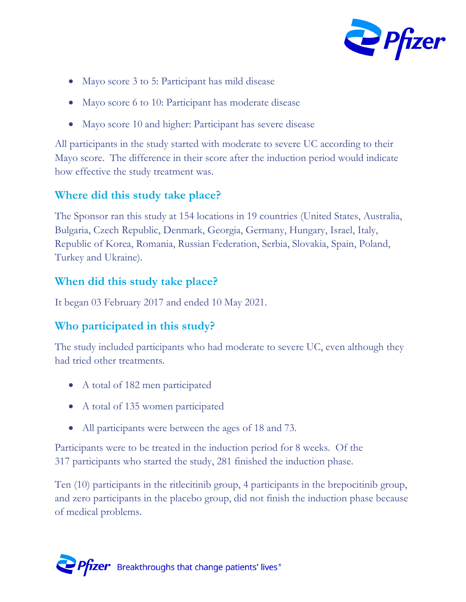

- Mayo score 3 to 5: Participant has mild disease
- Mayo score 6 to 10: Participant has moderate disease
- Mayo score 10 and higher: Participant has severe disease

All participants in the study started with moderate to severe UC according to their Mayo score. The difference in their score after the induction period would indicate how effective the study treatment was.

#### **Where did this study take place?**

The Sponsor ran this study at 154 locations in 19 countries (United States, Australia, Bulgaria, Czech Republic, Denmark, Georgia, Germany, Hungary, Israel, Italy, Republic of Korea, Romania, Russian Federation, Serbia, Slovakia, Spain, Poland, Turkey and Ukraine).

#### **When did this study take place?**

It began 03 February 2017 and ended 10 May 2021.

#### **Who participated in this study?**

The study included participants who had moderate to severe UC, even although they had tried other treatments.

- A total of 182 men participated
- A total of 135 women participated
- All participants were between the ages of 18 and 73.

Participants were to be treated in the induction period for 8 weeks. Of the 317 participants who started the study, 281 finished the induction phase.

Ten (10) participants in the ritlecitinib group, 4 participants in the brepocitinib group, and zero participants in the placebo group, did not finish the induction phase because of medical problems.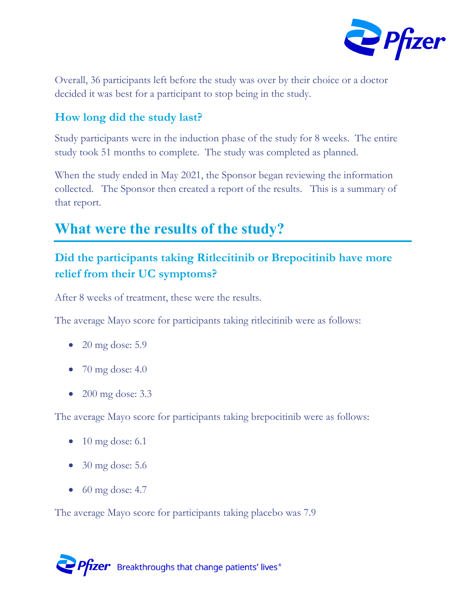

Overall, 36 participants left before the study was over by their choice or a doctor decided it was best for a participant to stop being in the study.

#### **How long did the study last?**

Study participants were in the induction phase of the study for 8 weeks. The entire study took 51 months to complete. The study was completed as planned.

When the study ended in May 2021, the Sponsor began reviewing the information collected. The Sponsor then created a report of the results. This is a summary of that report.

### **What were the results of the study?**

#### **Did the participants taking Ritlecitinib or Brepocitinib have more relief from their UC symptoms?**

After 8 weeks of treatment, these were the results.

The average Mayo score for participants taking ritlecitinib were as follows:

- $\bullet$  20 mg dose: 5.9
- $\bullet$  70 mg dose: 4.0
- 200 mg dose: 3.3

The average Mayo score for participants taking brepocitinib were as follows:

- $\bullet$  10 mg dose: 6.1
- 30 mg dose: 5.6
- $\bullet$  60 mg dose: 4.7

The average Mayo score for participants taking placebo was 7.9

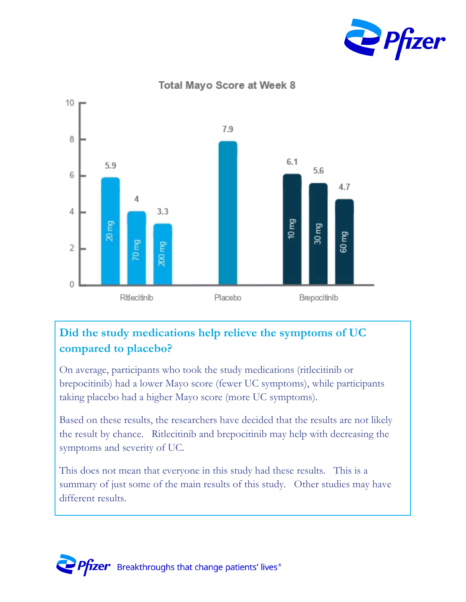

**Total Mayo Score at Week 8** 

10



#### **Did the study medications help relieve the symptoms of UC compared to placebo?**

On average, participants who took the study medications (ritlecitinib or brepocitinib) had a lower Mayo score (fewer UC symptoms), while participants taking placebo had a higher Mayo score (more UC symptoms).

Based on these results, the researchers have decided that the results are not likely the result by chance. Ritlecitinib and brepocitinib may help with decreasing the symptoms and severity of UC.

This does not mean that everyone in this study had these results. This is a summary of just some of the main results of this study. Other studies may have different results.

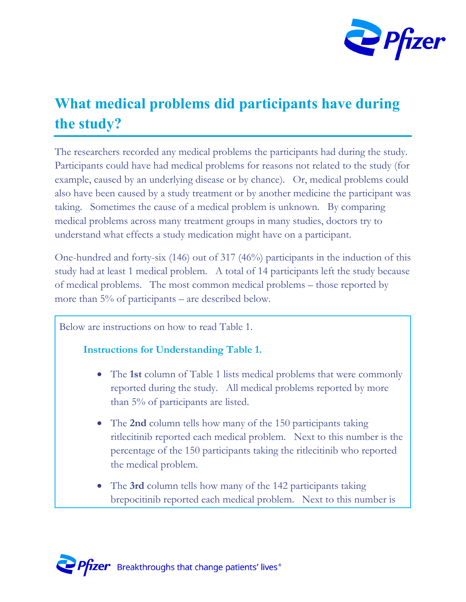

## **What medical problems did participants have during the study?**

The researchers recorded any medical problems the participants had during the study. Participants could have had medical problems for reasons not related to the study (for example, caused by an underlying disease or by chance). Or, medical problems could also have been caused by a study treatment or by another medicine the participant was taking. Sometimes the cause of a medical problem is unknown. By comparing medical problems across many treatment groups in many studies, doctors try to understand what effects a study medication might have on a participant.

One-hundred and forty-six (146) out of 317 (46%) participants in the induction of this study had at least 1 medical problem. A total of 14 participants left the study because of medical problems. The most common medical problems – those reported by more than 5% of participants – are described below.

Below are instructions on how to read Table 1.

#### **Instructions for Understanding Table 1.**

- The **1st** column of Table 1 lists medical problems that were commonly reported during the study. All medical problems reported by more than 5% of participants are listed.
- The **2nd** column tells how many of the 150 participants taking ritlecitinib reported each medical problem. Next to this number is the percentage of the 150 participants taking the ritlecitinib who reported the medical problem.
- The **3rd** column tells how many of the 142 participants taking brepocitinib reported each medical problem. Next to this number is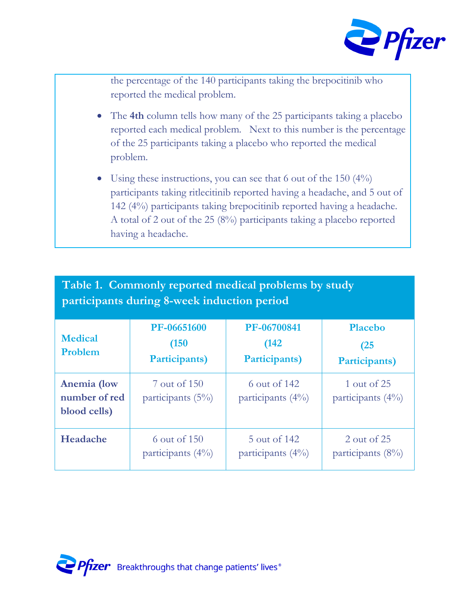

the percentage of the 140 participants taking the brepocitinib who reported the medical problem.

- The **4th** column tells how many of the 25 participants taking a placebo reported each medical problem. Next to this number is the percentage of the 25 participants taking a placebo who reported the medical problem.
- Using these instructions, you can see that 6 out of the 150 (4%) participants taking ritlecitinib reported having a headache, and 5 out of 142 (4%) participants taking brepocitinib reported having a headache. A total of 2 out of the 25 (8%) participants taking a placebo reported having a headache.

| Table 1. Commonly reported medical problems by study<br>participants during 8-week induction period |                                       |                                       |                                         |  |  |  |
|-----------------------------------------------------------------------------------------------------|---------------------------------------|---------------------------------------|-----------------------------------------|--|--|--|
| <b>Medical</b><br>Problem                                                                           | PF-06651600<br>(150)<br>Participants) | PF-06700841<br>(142)<br>Participants) | <b>Placebo</b><br>(25)<br>Participants) |  |  |  |
| Anemia (low<br>number of red<br>blood cells)                                                        | 7 out of 150<br>participants $(5\%)$  | 6 out of 142<br>participants $(4\%)$  | 1 out of 25<br>participants $(4\%)$     |  |  |  |
| Headache                                                                                            | 6 out of 150<br>participants $(4\%)$  | 5 out of 142<br>participants $(4\%)$  | 2 out of 25<br>participants $(8\%)$     |  |  |  |

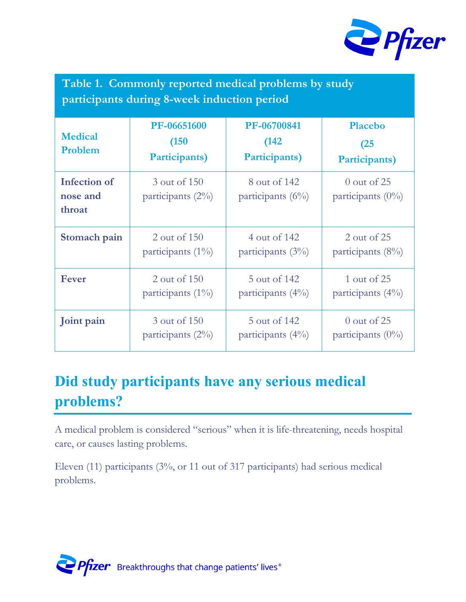

|                                             | Table 1. Commonly reported medical problems by study |  |  |  |
|---------------------------------------------|------------------------------------------------------|--|--|--|
| participants during 8-week induction period |                                                      |  |  |  |

| <b>Medical</b><br>Problem                 | PF-06651600<br>(150)<br>Participants) | PF-06700841<br>(142)<br>Participants) | <b>Placebo</b><br>(25)<br>Participants) |
|-------------------------------------------|---------------------------------------|---------------------------------------|-----------------------------------------|
| <b>Infection of</b><br>nose and<br>throat | 3 out of 150<br>participants $(2\%)$  | 8 out of 142<br>participants $(6\%)$  | $0$ out of 25<br>participants $(0\%)$   |
| Stomach pain                              | 2 out of 150                          | 4 out of 142                          | 2 out of 25                             |
|                                           | participants $(1\%)$                  | participants $(3\%)$                  | participants (8%)                       |
| <b>Fever</b>                              | 2 out of 150                          | 5 out of 142                          | 1 out of 25                             |
|                                           | participants $(1\%)$                  | participants $(4\%)$                  | participants (4%)                       |
| Joint pain                                | 3 out of 150                          | 5 out of 142                          | $0$ out of 25                           |
|                                           | participants $(2\%)$                  | participants $(4\%)$                  | participants $(0\%)$                    |

# **Did study participants have any serious medical problems?**

A medical problem is considered "serious" when it is life-threatening, needs hospital care, or causes lasting problems.

Eleven (11) participants (3%, or 11 out of 317 participants) had serious medical problems.

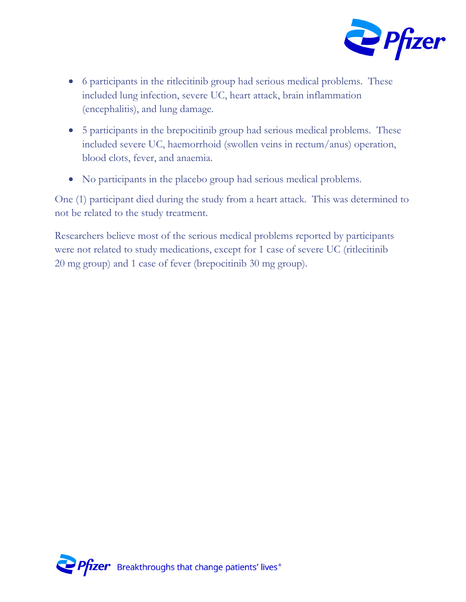

- 6 participants in the ritlecitinib group had serious medical problems. These included lung infection, severe UC, heart attack, brain inflammation (encephalitis), and lung damage.
- 5 participants in the brepocitinib group had serious medical problems. These included severe UC, haemorrhoid (swollen veins in rectum/anus) operation, blood clots, fever, and anaemia.
- No participants in the placebo group had serious medical problems.

One (1) participant died during the study from a heart attack. This was determined to not be related to the study treatment.

Researchers believe most of the serious medical problems reported by participants were not related to study medications, except for 1 case of severe UC (ritlecitinib 20 mg group) and 1 case of fever (brepocitinib 30 mg group).